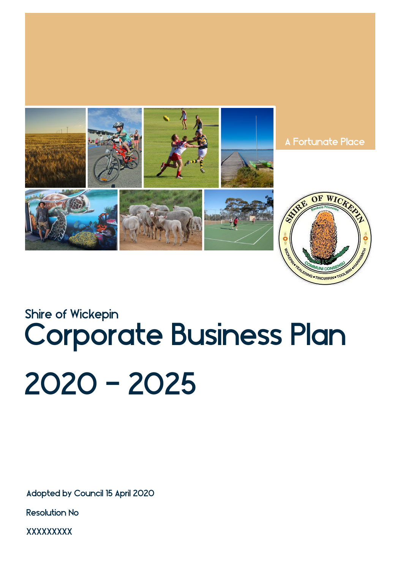

# Corporate Business Plan 2020 - 2025 Shire of Wickepin

Adopted by Council 15 April 2020

Resolution No

**XXXXXXXX**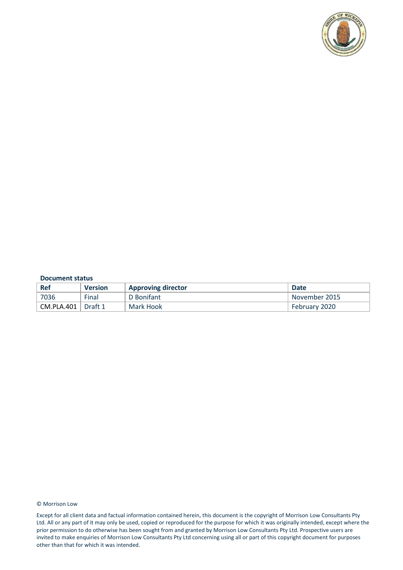

#### **Document status**

| Ref        | <b>Version</b> | <b>Approving director</b> | <b>Date</b>   |
|------------|----------------|---------------------------|---------------|
| 7036       | Final          | D Bonifant                | November 2015 |
| CM.PLA.401 | $\mid$ Draft 1 | Mark Hook                 | February 2020 |

#### © Morrison Low

Except for all client data and factual information contained herein, this document is the copyright of Morrison Low Consultants Pty Ltd. All or any part of it may only be used, copied or reproduced for the purpose for which it was originally intended, except where the prior permission to do otherwise has been sought from and granted by Morrison Low Consultants Pty Ltd. Prospective users are invited to make enquiries of Morrison Low Consultants Pty Ltd concerning using all or part of this copyright document for purposes other than that for which it was intended.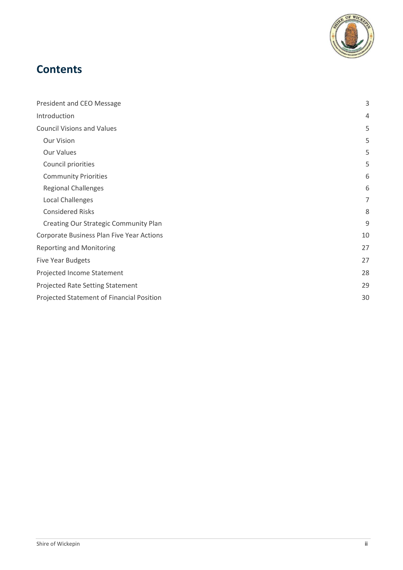

# **Contents**

| President and CEO Message                 | $\mathsf 3$ |
|-------------------------------------------|-------------|
| Introduction                              | 4           |
| <b>Council Visions and Values</b>         | 5           |
| <b>Our Vision</b>                         | 5           |
| <b>Our Values</b>                         | 5           |
| Council priorities                        | 5           |
| <b>Community Priorities</b>               | 6           |
| <b>Regional Challenges</b>                | 6           |
| Local Challenges                          | 7           |
| <b>Considered Risks</b>                   | 8           |
| Creating Our Strategic Community Plan     | 9           |
| Corporate Business Plan Five Year Actions | 10          |
| <b>Reporting and Monitoring</b>           | 27          |
| Five Year Budgets                         | 27          |
| Projected Income Statement                | 28          |
| Projected Rate Setting Statement          | 29          |
| Projected Statement of Financial Position | 30          |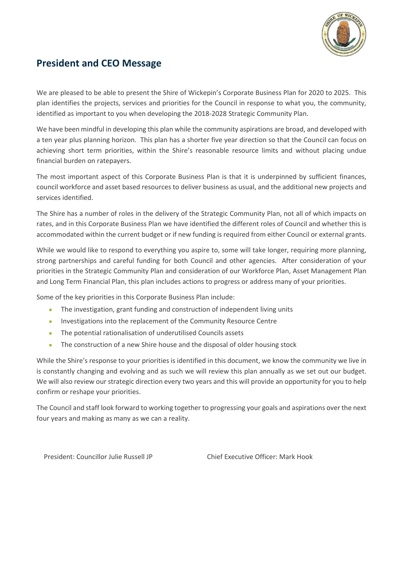

## <span id="page-3-0"></span>**President and CEO Message**

We are pleased to be able to present the Shire of Wickepin's Corporate Business Plan for 2020 to 2025. This plan identifies the projects, services and priorities for the Council in response to what you, the community, identified as important to you when developing the 2018-2028 Strategic Community Plan.

We have been mindful in developing this plan while the community aspirations are broad, and developed with a ten year plus planning horizon. This plan has a shorter five year direction so that the Council can focus on achieving short term priorities, within the Shire's reasonable resource limits and without placing undue financial burden on ratepayers.

The most important aspect of this Corporate Business Plan is that it is underpinned by sufficient finances, council workforce and asset based resources to deliver business as usual, and the additional new projects and services identified.

The Shire has a number of roles in the delivery of the Strategic Community Plan, not all of which impacts on rates, and in this Corporate Business Plan we have identified the different roles of Council and whether this is accommodated within the current budget or if new funding is required from either Council or external grants.

While we would like to respond to everything you aspire to, some will take longer, requiring more planning, strong partnerships and careful funding for both Council and other agencies. After consideration of your priorities in the Strategic Community Plan and consideration of our Workforce Plan, Asset Management Plan and Long Term Financial Plan, this plan includes actions to progress or address many of your priorities.

Some of the key priorities in this Corporate Business Plan include:

- The investigation, grant funding and construction of independent living units
- Investigations into the replacement of the Community Resource Centre
- The potential rationalisation of underutilised Councils assets
- The construction of a new Shire house and the disposal of older housing stock

While the Shire's response to your priorities is identified in this document, we know the community we live in is constantly changing and evolving and as such we will review this plan annually as we set out our budget. We will also review our strategic direction every two years and this will provide an opportunity for you to help confirm or reshape your priorities.

The Council and staff look forward to working together to progressing your goals and aspirations over the next four years and making as many as we can a reality.

President: Councillor Julie Russell JP Chief Executive Officer: Mark Hook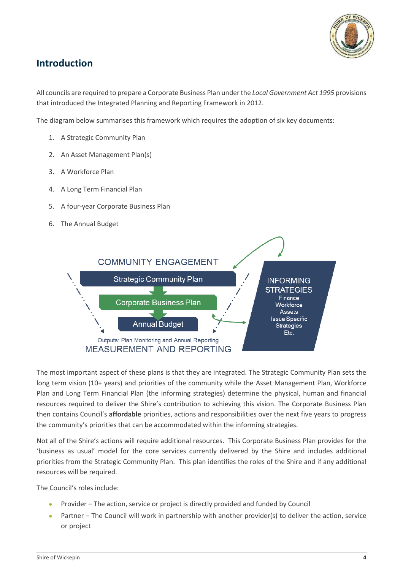

## <span id="page-4-0"></span>**Introduction**

All councils are required to prepare a Corporate Business Plan under the *Local Government Act 1995* provisions that introduced the Integrated Planning and Reporting Framework in 2012.

The diagram below summarises this framework which requires the adoption of six key documents:

- 1. A Strategic Community Plan
- 2. An Asset Management Plan(s)
- 3. A Workforce Plan
- 4. A Long Term Financial Plan
- 5. A four-year Corporate Business Plan
- 6. The Annual Budget



The most important aspect of these plans is that they are integrated. The Strategic Community Plan sets the long term vision (10+ years) and priorities of the community while the Asset Management Plan, Workforce Plan and Long Term Financial Plan (the informing strategies) determine the physical, human and financial resources required to deliver the Shire's contribution to achieving this vision. The Corporate Business Plan then contains Council's **affordable** priorities, actions and responsibilities over the next five years to progress the community's priorities that can be accommodated within the informing strategies.

Not all of the Shire's actions will require additional resources. This Corporate Business Plan provides for the 'business as usual' model for the core services currently delivered by the Shire and includes additional priorities from the Strategic Community Plan. This plan identifies the roles of the Shire and if any additional resources will be required.

The Council's roles include:

- Provider The action, service or project is directly provided and funded by Council
- Partner The Council will work in partnership with another provider(s) to deliver the action, service or project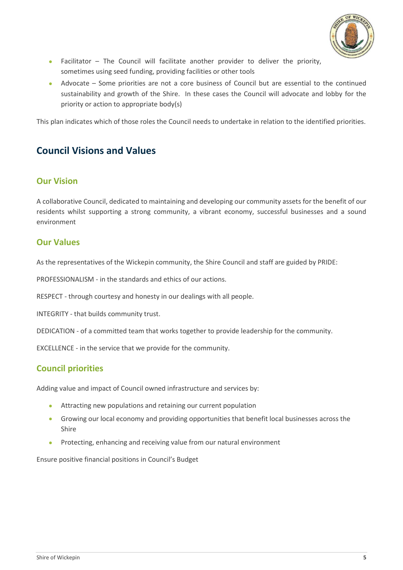

- Facilitator The Council will facilitate another provider to deliver the priority, sometimes using seed funding, providing facilities or other tools
- Advocate Some priorities are not a core business of Council but are essential to the continued sustainability and growth of the Shire. In these cases the Council will advocate and lobby for the priority or action to appropriate body(s)

This plan indicates which of those roles the Council needs to undertake in relation to the identified priorities.

## <span id="page-5-0"></span>**Council Visions and Values**

#### <span id="page-5-1"></span>**Our Vision**

A collaborative Council, dedicated to maintaining and developing our community assets for the benefit of our residents whilst supporting a strong community, a vibrant economy, successful businesses and a sound environment

#### <span id="page-5-2"></span>**Our Values**

As the representatives of the Wickepin community, the Shire Council and staff are guided by PRIDE:

PROFESSIONALISM - in the standards and ethics of our actions.

RESPECT - through courtesy and honesty in our dealings with all people.

INTEGRITY - that builds community trust.

DEDICATION - of a committed team that works together to provide leadership for the community.

EXCELLENCE - in the service that we provide for the community.

#### <span id="page-5-3"></span>**Council priorities**

Adding value and impact of Council owned infrastructure and services by:

- Attracting new populations and retaining our current population
- Growing our local economy and providing opportunities that benefit local businesses across the Shire
- Protecting, enhancing and receiving value from our natural environment

Ensure positive financial positions in Council's Budget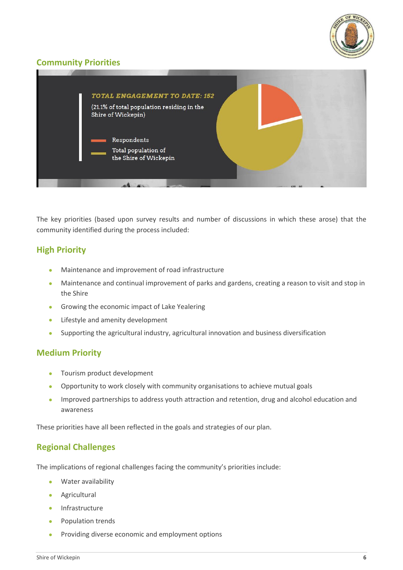

### <span id="page-6-0"></span>**Community Priorities**



The key priorities (based upon survey results and number of discussions in which these arose) that the community identified during the process included:

#### **High Priority**

- Maintenance and improvement of road infrastructure
- Maintenance and continual improvement of parks and gardens, creating a reason to visit and stop in the Shire
- Growing the economic impact of Lake Yealering
- **•** Lifestyle and amenity development
- Supporting the agricultural industry, agricultural innovation and business diversification

#### **Medium Priority**

- Tourism product development
- Opportunity to work closely with community organisations to achieve mutual goals
- Improved partnerships to address youth attraction and retention, drug and alcohol education and awareness

These priorities have all been reflected in the goals and strategies of our plan.

#### <span id="page-6-1"></span>**Regional Challenges**

The implications of regional challenges facing the community's priorities include:

- Water availability
- Agricultural
- **•** Infrastructure
- Population trends
- Providing diverse economic and employment options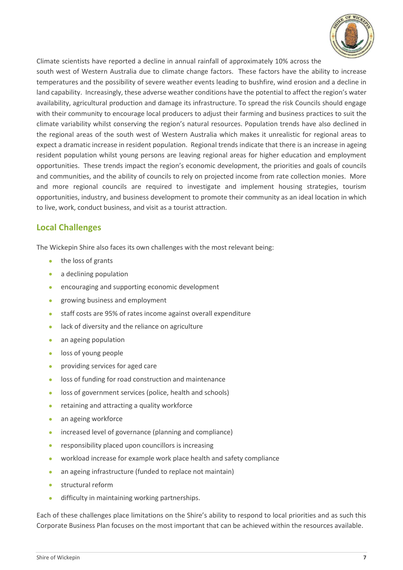

Climate scientists have reported a decline in annual rainfall of approximately 10% across the

south west of Western Australia due to climate change factors. These factors have the ability to increase temperatures and the possibility of severe weather events leading to bushfire, wind erosion and a decline in land capability. Increasingly, these adverse weather conditions have the potential to affect the region's water availability, agricultural production and damage its infrastructure. To spread the risk Councils should engage with their community to encourage local producers to adjust their farming and business practices to suit the climate variability whilst conserving the region's natural resources. Population trends have also declined in the regional areas of the south west of Western Australia which makes it unrealistic for regional areas to expect a dramatic increase in resident population. Regional trends indicate that there is an increase in ageing resident population whilst young persons are leaving regional areas for higher education and employment opportunities. These trends impact the region's economic development, the priorities and goals of councils and communities, and the ability of councils to rely on projected income from rate collection monies. More and more regional councils are required to investigate and implement housing strategies, tourism opportunities, industry, and business development to promote their community as an ideal location in which to live, work, conduct business, and visit as a tourist attraction.

#### <span id="page-7-0"></span>**Local Challenges**

The Wickepin Shire also faces its own challenges with the most relevant being:

- the loss of grants
- a declining population
- encouraging and supporting economic development
- **•** growing business and employment
- staff costs are 95% of rates income against overall expenditure
- **.** lack of diversity and the reliance on agriculture
- an ageing population
- loss of young people
- providing services for aged care
- loss of funding for road construction and maintenance
- loss of government services (police, health and schools)
- **•** retaining and attracting a quality workforce
- an ageing workforce
- increased level of governance (planning and compliance)
- responsibility placed upon councillors is increasing
- workload increase for example work place health and safety compliance
- an ageing infrastructure (funded to replace not maintain)
- **•** structural reform
- difficulty in maintaining working partnerships.

Each of these challenges place limitations on the Shire's ability to respond to local priorities and as such this Corporate Business Plan focuses on the most important that can be achieved within the resources available.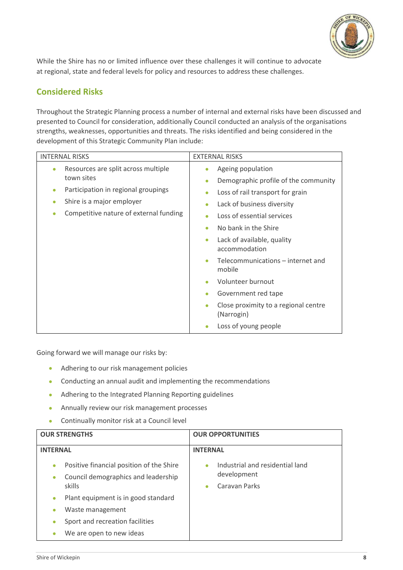

While the Shire has no or limited influence over these challenges it will continue to advocate at regional, state and federal levels for policy and resources to address these challenges.

## <span id="page-8-0"></span>**Considered Risks**

Throughout the Strategic Planning process a number of internal and external risks have been discussed and presented to Council for consideration, additionally Council conducted an analysis of the organisations strengths, weaknesses, opportunities and threats. The risks identified and being considered in the development of this Strategic Community Plan include:

| <b>INTERNAL RISKS</b>                                                                                                                                                                                               | <b>EXTERNAL RISKS</b>                                                                                                                                                                                                                                                                                                                                                                                                                                                                                                            |
|---------------------------------------------------------------------------------------------------------------------------------------------------------------------------------------------------------------------|----------------------------------------------------------------------------------------------------------------------------------------------------------------------------------------------------------------------------------------------------------------------------------------------------------------------------------------------------------------------------------------------------------------------------------------------------------------------------------------------------------------------------------|
| Resources are split across multiple<br>$\bullet$<br>town sites<br>Participation in regional groupings<br>$\bullet$<br>Shire is a major employer<br>$\bullet$<br>Competitive nature of external funding<br>$\bullet$ | Ageing population<br>$\bullet$<br>Demographic profile of the community<br>$\bullet$<br>Loss of rail transport for grain<br>$\bullet$<br>Lack of business diversity<br>$\bullet$<br>Loss of essential services<br>$\bullet$<br>No bank in the Shire<br>$\bullet$<br>Lack of available, quality<br>$\bullet$<br>accommodation<br>Telecommunications - internet and<br>$\bullet$<br>mobile<br>Volunteer burnout<br>$\bullet$<br>Government red tape<br>$\bullet$<br>Close proximity to a regional centre<br>$\bullet$<br>(Narrogin) |
|                                                                                                                                                                                                                     | Loss of young people                                                                                                                                                                                                                                                                                                                                                                                                                                                                                                             |

Going forward we will manage our risks by:

- Adhering to our risk management policies
- Conducting an annual audit and implementing the recommendations
- Adhering to the Integrated Planning Reporting guidelines
- Annually review our risk management processes
- Continually monitor risk at a Council level

| <b>OUR STRENGTHS</b>                                                                                                | <b>OUR OPPORTUNITIES</b>                                                                  |  |  |
|---------------------------------------------------------------------------------------------------------------------|-------------------------------------------------------------------------------------------|--|--|
| <b>INTERNAL</b>                                                                                                     | <b>INTERNAL</b>                                                                           |  |  |
| Positive financial position of the Shire<br>$\bullet$<br>Council demographics and leadership<br>$\bullet$<br>skills | Industrial and residential land<br>$\bullet$<br>development<br>Caravan Parks<br>$\bullet$ |  |  |
| Plant equipment is in good standard<br>$\bullet$                                                                    |                                                                                           |  |  |
| Waste management                                                                                                    |                                                                                           |  |  |
| Sport and recreation facilities                                                                                     |                                                                                           |  |  |
| We are open to new ideas                                                                                            |                                                                                           |  |  |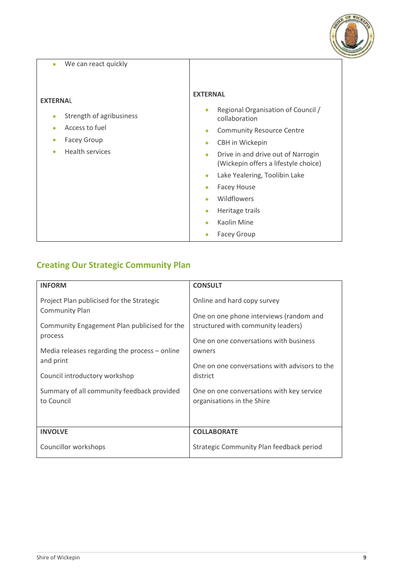

| We can react quickly<br>$\bullet$                                                                                                                                 |                                                                                                                                                                                                                                                                                                                                                                                                                                                                |
|-------------------------------------------------------------------------------------------------------------------------------------------------------------------|----------------------------------------------------------------------------------------------------------------------------------------------------------------------------------------------------------------------------------------------------------------------------------------------------------------------------------------------------------------------------------------------------------------------------------------------------------------|
| <b>EXTERNAL</b><br>Strength of agribusiness<br>$\bullet$<br>Access to fuel<br>$\bullet$<br><b>Facey Group</b><br>$\bullet$<br><b>Health services</b><br>$\bullet$ | <b>EXTERNAL</b><br>Regional Organisation of Council /<br>$\bullet$<br>collaboration<br><b>Community Resource Centre</b><br>$\bullet$<br>CBH in Wickepin<br>$\bullet$<br>Drive in and drive out of Narrogin<br>$\bullet$<br>(Wickepin offers a lifestyle choice)<br>Lake Yealering, Toolibin Lake<br>$\bullet$<br><b>Facey House</b><br>$\bullet$<br>Wildflowers<br>Heritage trails<br>$\bullet$<br>Kaolin Mine<br>$\bullet$<br><b>Facey Group</b><br>$\bullet$ |

# <span id="page-9-0"></span>**Creating Our Strategic Community Plan**

| <b>INFORM</b>                                                                                                                                                                                 | <b>CONSULT</b>                                                                                                                                                                                                    |  |  |
|-----------------------------------------------------------------------------------------------------------------------------------------------------------------------------------------------|-------------------------------------------------------------------------------------------------------------------------------------------------------------------------------------------------------------------|--|--|
| Project Plan publicised for the Strategic<br><b>Community Plan</b><br>Community Engagement Plan publicised for the<br>process<br>Media releases regarding the process $-$ online<br>and print | Online and hard copy survey<br>One on one phone interviews (random and<br>structured with community leaders)<br>One on one conversations with business<br>owners<br>One on one conversations with advisors to the |  |  |
| Council introductory workshop                                                                                                                                                                 | district                                                                                                                                                                                                          |  |  |
| Summary of all community feedback provided<br>to Council                                                                                                                                      | One on one conversations with key service<br>organisations in the Shire                                                                                                                                           |  |  |
| <b>INVOLVE</b>                                                                                                                                                                                | <b>COLLABORATE</b>                                                                                                                                                                                                |  |  |
| Councillor workshops                                                                                                                                                                          | Strategic Community Plan feedback period                                                                                                                                                                          |  |  |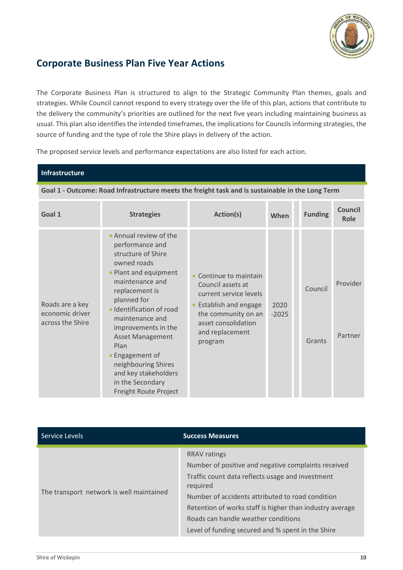

## <span id="page-10-0"></span>**Corporate Business Plan Five Year Actions**

The Corporate Business Plan is structured to align to the Strategic Community Plan themes, goals and strategies. While Council cannot respond to every strategy over the life of this plan, actions that contribute to the delivery the community's priorities are outlined for the next five years including maintaining business as usual. This plan also identifies the intended timeframes, the implications for Councils informing strategies, the source of funding and the type of role the Shire plays in delivery of the action.

The proposed service levels and performance expectations are also listed for each action.

| Infrastructure                                         |                                                                                                                                                                                                                                                                                                                                                                                     |                                                                                                                                                                         |                 |                   |                               |  |
|--------------------------------------------------------|-------------------------------------------------------------------------------------------------------------------------------------------------------------------------------------------------------------------------------------------------------------------------------------------------------------------------------------------------------------------------------------|-------------------------------------------------------------------------------------------------------------------------------------------------------------------------|-----------------|-------------------|-------------------------------|--|
|                                                        | Goal 1 - Outcome: Road Infrastructure meets the freight task and is sustainable in the Long Term                                                                                                                                                                                                                                                                                    |                                                                                                                                                                         |                 |                   |                               |  |
| Goal 1                                                 | <b>Strategies</b>                                                                                                                                                                                                                                                                                                                                                                   | Action(s)                                                                                                                                                               | When            | <b>Funding</b>    | <b>Council</b><br><b>Role</b> |  |
| Roads are a key<br>economic driver<br>across the Shire | • Annual review of the<br>performance and<br>structure of Shire<br>owned roads<br>• Plant and equipment<br>maintenance and<br>replacement is<br>planned for<br>· Identification of road<br>maintenance and<br>improvements in the<br><b>Asset Management</b><br>Plan<br>• Engagement of<br>neighbouring Shires<br>and key stakeholders<br>in the Secondary<br>Freight Route Project | Continue to maintain<br>Council assets at<br>current service levels<br>Establish and engage<br>the community on an<br>asset consolidation<br>and replacement<br>program | 2020<br>$-2025$ | Council<br>Grants | Provider<br>Partner           |  |

| Service Levels                           | <b>Success Measures</b>                                                                                                                                                                                                                                                                                                                                |
|------------------------------------------|--------------------------------------------------------------------------------------------------------------------------------------------------------------------------------------------------------------------------------------------------------------------------------------------------------------------------------------------------------|
| The transport network is well maintained | <b>RRAV</b> ratings<br>Number of positive and negative complaints received<br>Traffic count data reflects usage and investment<br>required<br>Number of accidents attributed to road condition<br>Retention of works staff is higher than industry average<br>Roads can handle weather conditions<br>Level of funding secured and % spent in the Shire |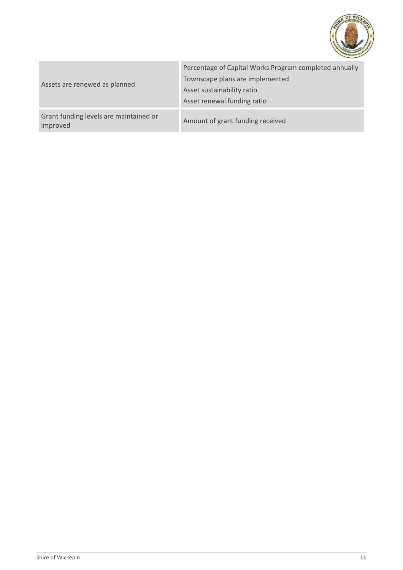

| Assets are renewed as planned                      | Percentage of Capital Works Program completed annually<br>Townscape plans are implemented<br>Asset sustainability ratio<br>Asset renewal funding ratio |  |  |
|----------------------------------------------------|--------------------------------------------------------------------------------------------------------------------------------------------------------|--|--|
| Grant funding levels are maintained or<br>improved | Amount of grant funding received                                                                                                                       |  |  |
|                                                    |                                                                                                                                                        |  |  |

a pro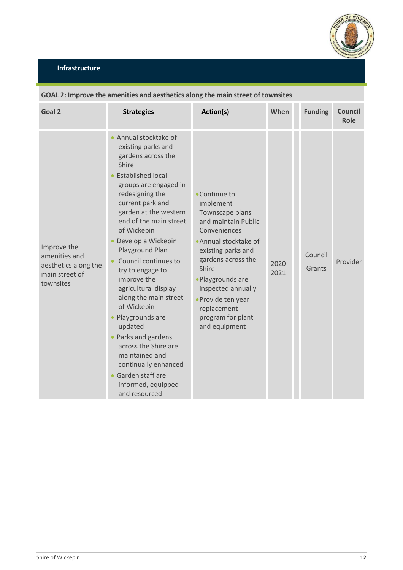

| Goal 2                                                                              | <b>Strategies</b>                                                                                                                                                                                                                                                                                                                                                                                                                                                                                                                                                                              | Action(s)                                                                                                                                                                                                                                                                                | When             | <b>Funding</b>    | <b>Council</b><br>Role |
|-------------------------------------------------------------------------------------|------------------------------------------------------------------------------------------------------------------------------------------------------------------------------------------------------------------------------------------------------------------------------------------------------------------------------------------------------------------------------------------------------------------------------------------------------------------------------------------------------------------------------------------------------------------------------------------------|------------------------------------------------------------------------------------------------------------------------------------------------------------------------------------------------------------------------------------------------------------------------------------------|------------------|-------------------|------------------------|
| Improve the<br>amenities and<br>aesthetics along the<br>main street of<br>townsites | • Annual stocktake of<br>existing parks and<br>gardens across the<br>Shire<br><b>Established local</b><br>groups are engaged in<br>redesigning the<br>current park and<br>garden at the western<br>end of the main street<br>of Wickepin<br>Develop a Wickepin<br>Playground Plan<br>Council continues to<br>try to engage to<br>improve the<br>agricultural display<br>along the main street<br>of Wickepin<br>Playgrounds are<br>updated<br>• Parks and gardens<br>across the Shire are<br>maintained and<br>continually enhanced<br>Garden staff are<br>informed, equipped<br>and resourced | • Continue to<br>implement<br>Townscape plans<br>and maintain Public<br>Conveniences<br>· Annual stocktake of<br>existing parks and<br>gardens across the<br>Shire<br>· Playgrounds are<br>inspected annually<br>· Provide ten year<br>replacement<br>program for plant<br>and equipment | $2020 -$<br>2021 | Council<br>Grants | Provider               |

#### **GOAL 2: Improve the amenities and aesthetics along the main street of townsites**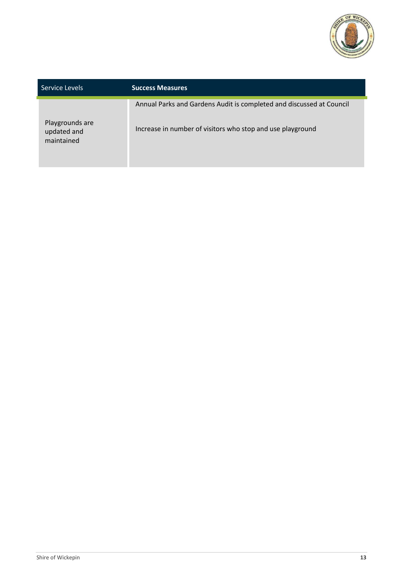

| Service Levels                               | <b>Success Measures</b>                                                                                                            |
|----------------------------------------------|------------------------------------------------------------------------------------------------------------------------------------|
| Playgrounds are<br>updated and<br>maintained | Annual Parks and Gardens Audit is completed and discussed at Council<br>Increase in number of visitors who stop and use playground |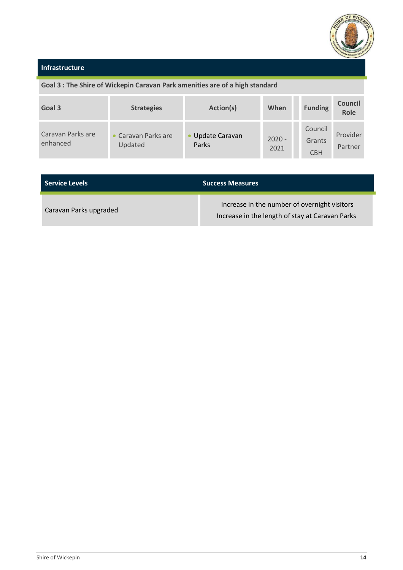

#### **Infrastructure**

## **Goal 3 : The Shire of Wickepin Caravan Park amenities are of a high standard**

| Goal 3                        | <b>Strategies</b>              | Action(s)                 | When             | <b>Funding</b>                  | <b>Council</b><br><b>Role</b> |
|-------------------------------|--------------------------------|---------------------------|------------------|---------------------------------|-------------------------------|
| Caravan Parks are<br>enhanced | • Caravan Parks are<br>Updated | • Update Caravan<br>Parks | $2020 -$<br>2021 | Council<br>Grants<br><b>CBH</b> | Provider<br>Partner           |

| l Service Levels       | <b>Success Measures</b>                                                                         |  |  |
|------------------------|-------------------------------------------------------------------------------------------------|--|--|
| Caravan Parks upgraded | Increase in the number of overnight visitors<br>Increase in the length of stay at Caravan Parks |  |  |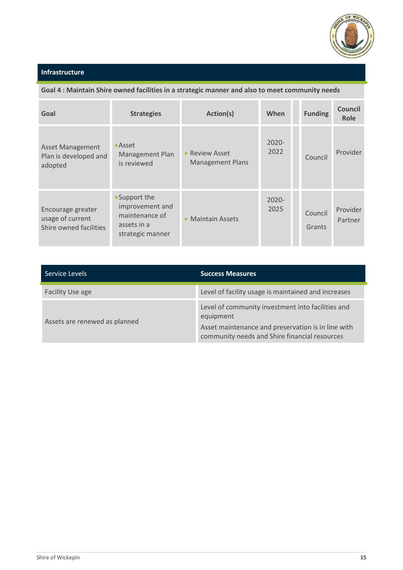

## **Infrastructure**

#### **Goal 4 : Maintain Shire owned facilities in a strategic manner and also to meet community needs**

| Goal                                                            | <b>Strategies</b>                                                                     | Action(s)                                      | When             | <b>Funding</b>    | <b>Council</b><br>Role |
|-----------------------------------------------------------------|---------------------------------------------------------------------------------------|------------------------------------------------|------------------|-------------------|------------------------|
| <b>Asset Management</b><br>Plan is developed and<br>adopted     | • Asset<br>Management Plan<br>is reviewed                                             | <b>Review Asset</b><br><b>Management Plans</b> | $2020 -$<br>2022 | Council           | Provider               |
| Encourage greater<br>usage of current<br>Shire owned facilities | • Support the<br>improvement and<br>maintenance of<br>assets in a<br>strategic manner | <b>Maintain Assets</b>                         | $2020 -$<br>2025 | Council<br>Grants | Provider<br>Partner    |

| Service Levels                | <b>Success Measures</b>                                                                                                                                               |
|-------------------------------|-----------------------------------------------------------------------------------------------------------------------------------------------------------------------|
| Facility Use age              | Level of facility usage is maintained and increases                                                                                                                   |
| Assets are renewed as planned | Level of community investment into facilities and<br>equipment<br>Asset maintenance and preservation is in line with<br>community needs and Shire financial resources |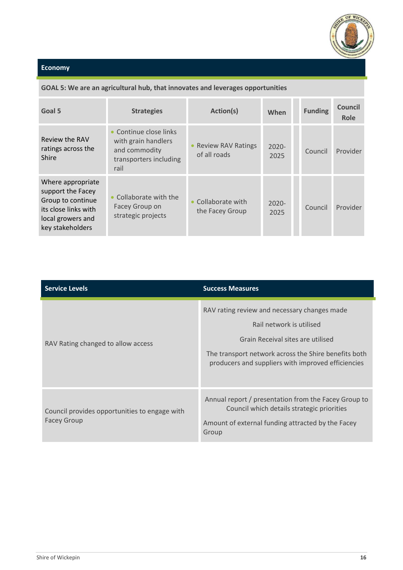

#### **GOAL 5: We are an agricultural hub, that innovates and leverages opportunities**

| Goal 5                                                                                                                       | <b>Strategies</b>                                                                                | Action(s)                            | When             | <b>Funding</b> | <b>Council</b><br>Role |
|------------------------------------------------------------------------------------------------------------------------------|--------------------------------------------------------------------------------------------------|--------------------------------------|------------------|----------------|------------------------|
| Review the RAV<br>ratings across the<br>Shire                                                                                | • Continue close links<br>with grain handlers<br>and commodity<br>transporters including<br>rail | • Review RAV Ratings<br>of all roads | $2020 -$<br>2025 | Council        | Provider               |
| Where appropriate<br>support the Facey<br>Group to continue<br>its close links with<br>local growers and<br>key stakeholders | Collaborate with the<br>Facey Group on<br>strategic projects                                     | Collaborate with<br>the Facey Group  | $2020 -$<br>2025 | Council        | Provider               |

| <b>Service Levels</b>                                               | <b>Success Measures</b>                                                                                                                                                                                                     |
|---------------------------------------------------------------------|-----------------------------------------------------------------------------------------------------------------------------------------------------------------------------------------------------------------------------|
| RAV Rating changed to allow access                                  | RAV rating review and necessary changes made<br>Rail network is utilised<br>Grain Receival sites are utilised<br>The transport network across the Shire benefits both<br>producers and suppliers with improved efficiencies |
| Council provides opportunities to engage with<br><b>Facey Group</b> | Annual report / presentation from the Facey Group to<br>Council which details strategic priorities<br>Amount of external funding attracted by the Facey<br>Group                                                            |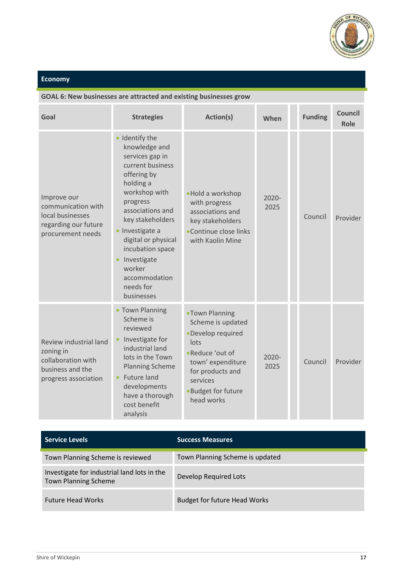

## **GOAL 6: New businesses are attracted and existing businesses grow**

| Goal                                                                                                  | <b>Strategies</b>                                                                                                                                                                                                                                                                                        | Action(s)                                                                                                                                                                          | When             | <b>Funding</b> | <b>Council</b><br>Role |
|-------------------------------------------------------------------------------------------------------|----------------------------------------------------------------------------------------------------------------------------------------------------------------------------------------------------------------------------------------------------------------------------------------------------------|------------------------------------------------------------------------------------------------------------------------------------------------------------------------------------|------------------|----------------|------------------------|
| Improve our<br>communication with<br>local businesses<br>regarding our future<br>procurement needs    | · Identify the<br>knowledge and<br>services gap in<br>current business<br>offering by<br>holding a<br>workshop with<br>progress<br>associations and<br>key stakeholders<br>Investigate a<br>digital or physical<br>incubation space<br>Investigate<br>worker<br>accommodation<br>needs for<br>businesses | •Hold a workshop<br>with progress<br>associations and<br>key stakeholders<br>•Continue close links<br>with Kaolin Mine                                                             | $2020 -$<br>2025 | Council        | Provider               |
| Review industrial land<br>zoning in<br>collaboration with<br>business and the<br>progress association | • Town Planning<br>Scheme is<br>reviewed<br>Investigate for<br>industrial land<br>lots in the Town<br><b>Planning Scheme</b><br>Future land<br>developments<br>have a thorough<br>cost benefit<br>analysis                                                                                               | .Town Planning<br>Scheme is updated<br>·Develop required<br>lots<br>•Reduce 'out of<br>town' expenditure<br>for products and<br>services<br><b>Budget for future</b><br>head works | 2020-<br>2025    | Council        | Provider               |

| <b>Service Levels</b>                                                      | <b>Success Measures</b>             |
|----------------------------------------------------------------------------|-------------------------------------|
| Town Planning Scheme is reviewed                                           | Town Planning Scheme is updated     |
| Investigate for industrial land lots in the<br><b>Town Planning Scheme</b> | Develop Required Lots               |
| <b>Future Head Works</b>                                                   | <b>Budget for future Head Works</b> |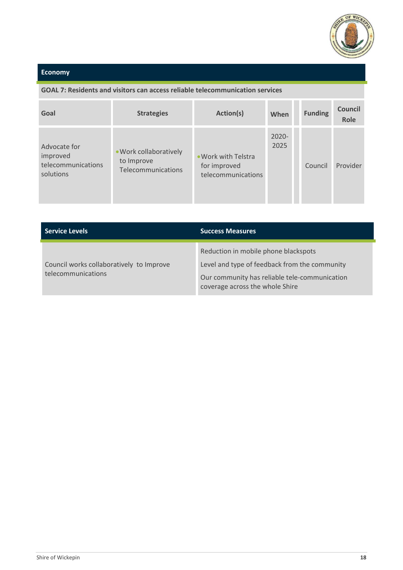

#### **GOAL 7: Residents and visitors can access reliable telecommunication services**

| Goal                                                        | <b>Strategies</b>                                          | Action(s)                                                 | When             | <b>Funding</b> | Council<br>Role |
|-------------------------------------------------------------|------------------------------------------------------------|-----------------------------------------------------------|------------------|----------------|-----------------|
| Advocate for<br>improved<br>telecommunications<br>solutions | . Work collaboratively<br>to Improve<br>Telecommunications | . Work with Telstra<br>for improved<br>telecommunications | $2020 -$<br>2025 | Council        | Provider        |

| <b>Service Levels</b>                                          | <b>Success Measures</b>                                                                                                                                                   |
|----------------------------------------------------------------|---------------------------------------------------------------------------------------------------------------------------------------------------------------------------|
| Council works collaboratively to Improve<br>telecommunications | Reduction in mobile phone blackspots<br>Level and type of feedback from the community<br>Our community has reliable tele-communication<br>coverage across the whole Shire |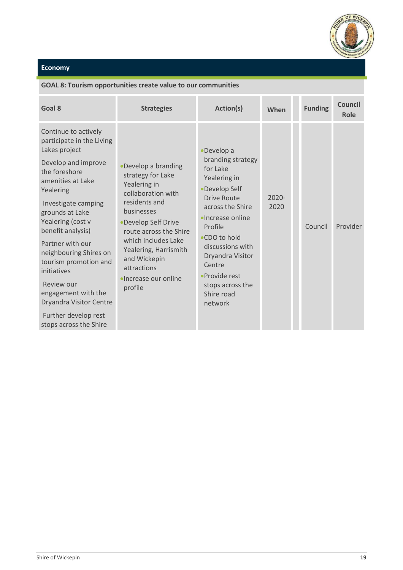

#### **GOAL 8: Tourism opportunities create value to our communities**

| Goal 8                                                                                                                                                                                                                                                                                                                                                                                                                                   | <b>Strategies</b>                                                                                                                                                                                                                                                                       | Action(s)                                                                                                                                                                                                                                                                       | When             | <b>Funding</b> | <b>Council</b><br>Role |
|------------------------------------------------------------------------------------------------------------------------------------------------------------------------------------------------------------------------------------------------------------------------------------------------------------------------------------------------------------------------------------------------------------------------------------------|-----------------------------------------------------------------------------------------------------------------------------------------------------------------------------------------------------------------------------------------------------------------------------------------|---------------------------------------------------------------------------------------------------------------------------------------------------------------------------------------------------------------------------------------------------------------------------------|------------------|----------------|------------------------|
| Continue to actively<br>participate in the Living<br>Lakes project<br>Develop and improve<br>the foreshore<br>amenities at Lake<br>Yealering<br>Investigate camping<br>grounds at Lake<br>Yealering (cost v<br>benefit analysis)<br>Partner with our<br>neighbouring Shires on<br>tourism promotion and<br>initiatives<br>Review our<br>engagement with the<br>Dryandra Visitor Centre<br>Further develop rest<br>stops across the Shire | •Develop a branding<br>strategy for Lake<br>Yealering in<br>collaboration with<br>residents and<br>businesses<br>•Develop Self Drive<br>route across the Shire<br>which includes Lake<br>Yealering, Harrismith<br>and Wickepin<br>attractions<br><b>•Increase our online</b><br>profile | •Develop a<br>branding strategy<br>for Lake<br>Yealering in<br>•Develop Self<br>Drive Route<br>across the Shire<br>·Increase online<br>Profile<br>●CDO to hold<br>discussions with<br>Dryandra Visitor<br>Centre<br>• Provide rest<br>stops across the<br>Shire road<br>network | $2020 -$<br>2020 | Council        | Provider               |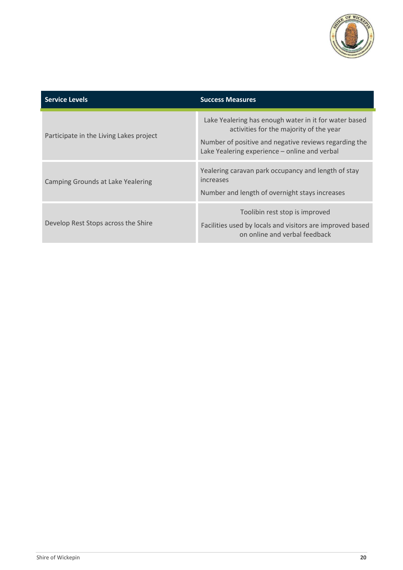

| <b>Service Levels</b>                   | <b>Success Measures</b>                                                                                                                                                                                    |
|-----------------------------------------|------------------------------------------------------------------------------------------------------------------------------------------------------------------------------------------------------------|
| Participate in the Living Lakes project | Lake Yealering has enough water in it for water based<br>activities for the majority of the year<br>Number of positive and negative reviews regarding the<br>Lake Yealering experience - online and verbal |
| Camping Grounds at Lake Yealering       | Yealering caravan park occupancy and length of stay<br>increases<br>Number and length of overnight stays increases                                                                                         |
| Develop Rest Stops across the Shire     | Toolibin rest stop is improved<br>Facilities used by locals and visitors are improved based<br>on online and verbal feedback                                                                               |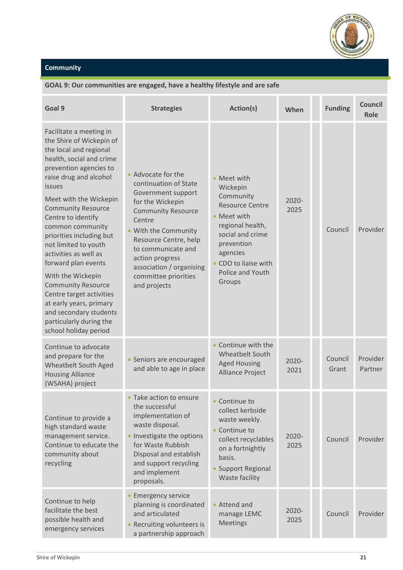

## **Community**

#### **GOAL 9: Our communities are engaged, have a healthy lifestyle and are safe**

| Goal 9                                                                                                                                                                                                                                                                                                                                                                                                                                                                                                                                                                     | <b>Strategies</b>                                                                                                                                                                                                                                                                          | Action(s)                                                                                                                                                                                             | When             | <b>Funding</b>   | <b>Council</b><br>Role |
|----------------------------------------------------------------------------------------------------------------------------------------------------------------------------------------------------------------------------------------------------------------------------------------------------------------------------------------------------------------------------------------------------------------------------------------------------------------------------------------------------------------------------------------------------------------------------|--------------------------------------------------------------------------------------------------------------------------------------------------------------------------------------------------------------------------------------------------------------------------------------------|-------------------------------------------------------------------------------------------------------------------------------------------------------------------------------------------------------|------------------|------------------|------------------------|
| Facilitate a meeting in<br>the Shire of Wickepin of<br>the local and regional<br>health, social and crime<br>prevention agencies to<br>raise drug and alcohol<br><i>issues</i><br>Meet with the Wickepin<br><b>Community Resource</b><br>Centre to identify<br>common community<br>priorities including but<br>not limited to youth<br>activities as well as<br>forward plan events<br>With the Wickepin<br><b>Community Resource</b><br>Centre target activities<br>at early years, primary<br>and secondary students<br>particularly during the<br>school holiday period | • Advocate for the<br>continuation of State<br>Government support<br>for the Wickepin<br><b>Community Resource</b><br>Centre<br>• With the Community<br>Resource Centre, help<br>to communicate and<br>action progress<br>association / organising<br>committee priorities<br>and projects | • Meet with<br>Wickepin<br>Community<br><b>Resource Centre</b><br>• Meet with<br>regional health,<br>social and crime<br>prevention<br>agencies<br>• CDO to liaise with<br>Police and Youth<br>Groups | $2020 -$<br>2025 | Council          | Provider               |
| Continue to advocate<br>and prepare for the<br>Wheatbelt South Aged<br><b>Housing Alliance</b><br>(WSAHA) project                                                                                                                                                                                                                                                                                                                                                                                                                                                          | • Seniors are encouraged<br>and able to age in place                                                                                                                                                                                                                                       | Continue with the<br>Wheatbelt South<br><b>Aged Housing</b><br>Alliance Project                                                                                                                       | $2020 -$<br>2021 | Council<br>Grant | Provider<br>Partner    |
| Continue to provide a<br>high standard waste<br>management service.<br>Continue to educate the<br>community about<br>recycling                                                                                                                                                                                                                                                                                                                                                                                                                                             | Take action to ensure<br>the successful<br>implementation of<br>waste disposal.<br>Investigate the options<br>for Waste Rubbish<br>Disposal and establish<br>and support recycling<br>and implement<br>proposals.                                                                          | Continue to<br>collect kerbside<br>waste weekly.<br>Continue to<br>collect recyclables<br>on a fortnightly<br>basis.<br><b>Support Regional</b><br>Waste facility                                     | $2020 -$<br>2025 | Council          | Provider               |
| Continue to help<br>facilitate the best<br>possible health and<br>emergency services                                                                                                                                                                                                                                                                                                                                                                                                                                                                                       | <b>Emergency service</b><br>planning is coordinated<br>and articulated<br>Recruiting volunteers is<br>a partnership approach                                                                                                                                                               | • Attend and<br>manage LEMC<br><b>Meetings</b>                                                                                                                                                        | $2020 -$<br>2025 | Council          | <b>Provider</b>        |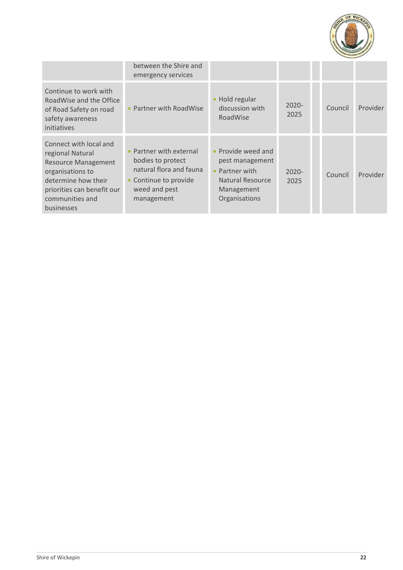

|                                                                                                                                                                                    | between the Shire and<br>emergency services                                                                                 |                                                                                                                       |                  |         |          |
|------------------------------------------------------------------------------------------------------------------------------------------------------------------------------------|-----------------------------------------------------------------------------------------------------------------------------|-----------------------------------------------------------------------------------------------------------------------|------------------|---------|----------|
| Continue to work with<br>RoadWise and the Office<br>of Road Safety on road<br>safety awareness<br>initiatives                                                                      | Partner with RoadWise                                                                                                       | Hold regular<br>$\bullet$<br>discussion with<br>RoadWise                                                              | $2020 -$<br>2025 | Council | Provider |
| Connect with local and<br>regional Natural<br><b>Resource Management</b><br>organisations to<br>determine how their<br>priorities can benefit our<br>communities and<br>businesses | Partner with external<br>bodies to protect<br>natural flora and fauna<br>Continue to provide<br>weed and pest<br>management | • Provide weed and<br>pest management<br>Partner with<br>$\bullet$<br>Natural Resource<br>Management<br>Organisations | $2020 -$<br>2025 | Council | Provider |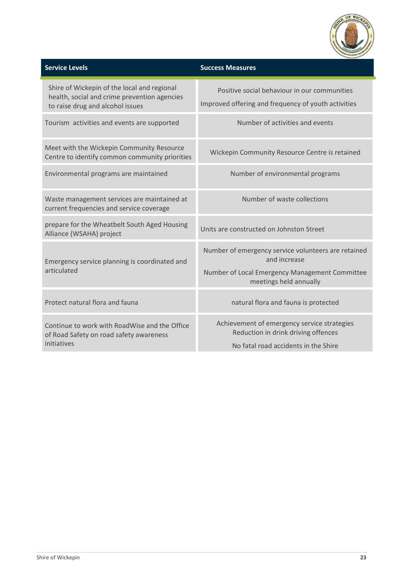

| <b>Service Levels</b>                                                                                                           | <b>Success Measures</b>                                                                             |
|---------------------------------------------------------------------------------------------------------------------------------|-----------------------------------------------------------------------------------------------------|
| Shire of Wickepin of the local and regional<br>health, social and crime prevention agencies<br>to raise drug and alcohol issues | Positive social behaviour in our communities<br>Improved offering and frequency of youth activities |
| Tourism activities and events are supported                                                                                     | Number of activities and events                                                                     |
| Meet with the Wickepin Community Resource<br>Centre to identify common community priorities                                     | Wickepin Community Resource Centre is retained                                                      |
| Environmental programs are maintained                                                                                           | Number of environmental programs                                                                    |
| Waste management services are maintained at<br>current frequencies and service coverage                                         | Number of waste collections                                                                         |
| prepare for the Wheatbelt South Aged Housing<br>Alliance (WSAHA) project                                                        | Units are constructed on Johnston Street                                                            |
| Emergency service planning is coordinated and                                                                                   | Number of emergency service volunteers are retained<br>and increase                                 |
| articulated                                                                                                                     | Number of Local Emergency Management Committee<br>meetings held annually                            |
| Protect natural flora and fauna                                                                                                 | natural flora and fauna is protected                                                                |
| Continue to work with RoadWise and the Office<br>of Road Safety on road safety awareness                                        | Achievement of emergency service strategies<br>Reduction in drink driving offences                  |
| initiatives                                                                                                                     | No fatal road accidents in the Shire                                                                |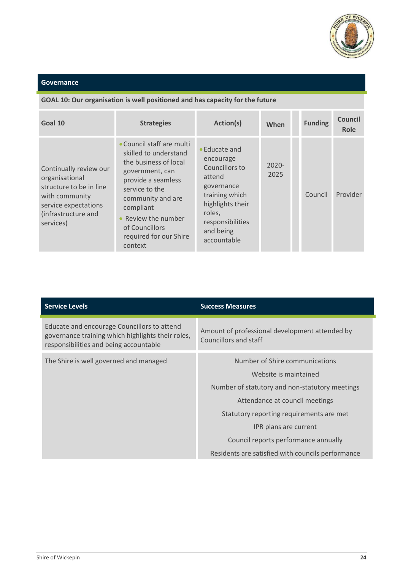

#### **Governance**

#### **GOAL 10: Our organisation is well positioned and has capacity for the future**

| Goal 10                                                                                                                                           | <b>Strategies</b>                                                                                                                                                                                                                                    | Action(s)                                                                                                                                                            | When             | <b>Funding</b> | <b>Council</b><br>Role |
|---------------------------------------------------------------------------------------------------------------------------------------------------|------------------------------------------------------------------------------------------------------------------------------------------------------------------------------------------------------------------------------------------------------|----------------------------------------------------------------------------------------------------------------------------------------------------------------------|------------------|----------------|------------------------|
| Continually review our<br>organisational<br>structure to be in line<br>with community<br>service expectations<br>(infrastructure and<br>services) | • Council staff are multi<br>skilled to understand<br>the business of local<br>government, can<br>provide a seamless<br>service to the<br>community and are<br>compliant<br>Review the number<br>of Councillors<br>required for our Shire<br>context | • Educate and<br>encourage<br>Councillors to<br>attend<br>governance<br>training which<br>highlights their<br>roles,<br>responsibilities<br>and being<br>accountable | $2020 -$<br>2025 | Council        | Provider               |

| <b>Service Levels</b>                                                                                                                      | <b>Success Measures</b>                                                 |
|--------------------------------------------------------------------------------------------------------------------------------------------|-------------------------------------------------------------------------|
| Educate and encourage Councillors to attend<br>governance training which highlights their roles,<br>responsibilities and being accountable | Amount of professional development attended by<br>Councillors and staff |
| The Shire is well governed and managed                                                                                                     | Number of Shire communications                                          |
|                                                                                                                                            | Website is maintained<br>Number of statutory and non-statutory meetings |
|                                                                                                                                            | Attendance at council meetings                                          |
|                                                                                                                                            | Statutory reporting requirements are met                                |
|                                                                                                                                            | IPR plans are current                                                   |
|                                                                                                                                            | Council reports performance annually                                    |
|                                                                                                                                            | Residents are satisfied with councils performance                       |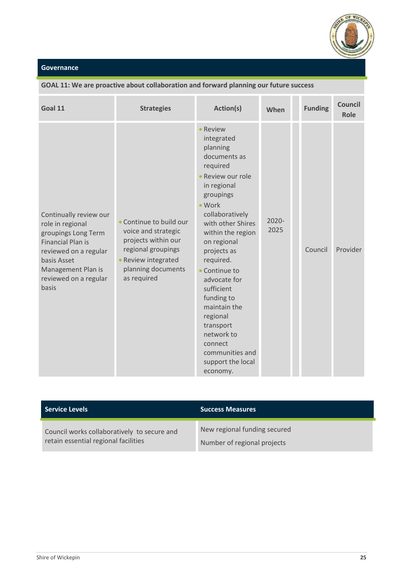

#### **Governance**

| Goal 11                                                                                                                                                                                       | <b>Strategies</b>                                                                                                                                     | Action(s)                                                                                                                                                                                                                                                                                                                                                                                                      | When             | <b>Funding</b> | <b>Council</b><br><b>Role</b> |
|-----------------------------------------------------------------------------------------------------------------------------------------------------------------------------------------------|-------------------------------------------------------------------------------------------------------------------------------------------------------|----------------------------------------------------------------------------------------------------------------------------------------------------------------------------------------------------------------------------------------------------------------------------------------------------------------------------------------------------------------------------------------------------------------|------------------|----------------|-------------------------------|
| Continually review our<br>role in regional<br>groupings Long Term<br><b>Financial Plan is</b><br>reviewed on a regular<br>basis Asset<br>Management Plan is<br>reviewed on a regular<br>basis | • Continue to build our<br>voice and strategic<br>projects within our<br>regional groupings<br>Review integrated<br>planning documents<br>as required | Review<br>integrated<br>planning<br>documents as<br>required<br>Review our role<br>in regional<br>groupings<br>• Work<br>collaboratively<br>with other Shires<br>within the region<br>on regional<br>projects as<br>required.<br>Continue to<br>advocate for<br>sufficient<br>funding to<br>maintain the<br>regional<br>transport<br>network to<br>connect<br>communities and<br>support the local<br>economy. | $2020 -$<br>2025 | Council        | Provider                      |

#### **GOAL 11: We are proactive about collaboration and forward planning our future success**

| <b>Service Levels</b>                       | <b>Success Measures</b>      |
|---------------------------------------------|------------------------------|
| Council works collaboratively to secure and | New regional funding secured |
| retain essential regional facilities        | Number of regional projects  |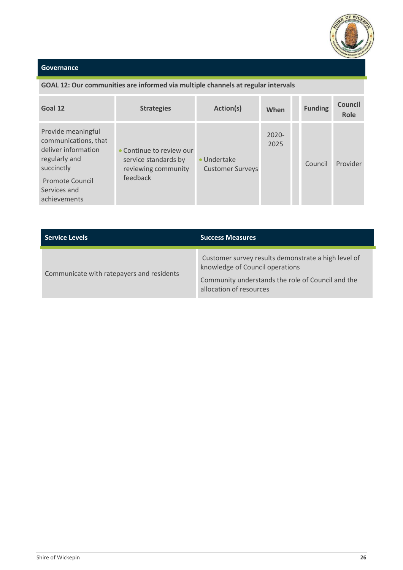

#### **Governance**

achievements

#### **GOAL 12: Our communities are informed via multiple channels at regular intervals Goal <sup>12</sup> Strategies Action(s) When Funding Council Role** Provide meaningful communications, that deliver information regularly and succinctly Promote Council Services and Continue to review our service standards by reviewing community feedback Undertake Customer Surveys 2020- 2025 Council Provider

| <b>Service Levels</b>                     | <b>Success Measures</b>                                                                                                                                                |
|-------------------------------------------|------------------------------------------------------------------------------------------------------------------------------------------------------------------------|
| Communicate with ratepayers and residents | Customer survey results demonstrate a high level of<br>knowledge of Council operations<br>Community understands the role of Council and the<br>allocation of resources |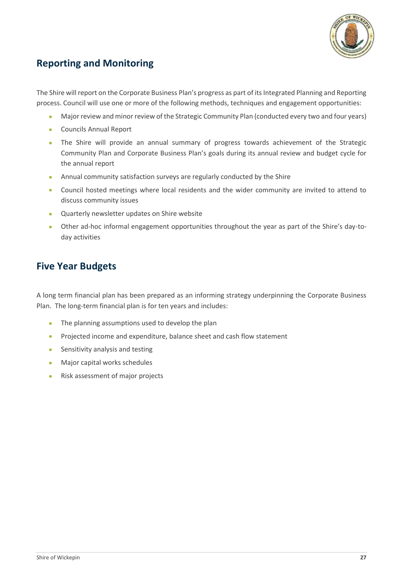

## <span id="page-27-0"></span>**Reporting and Monitoring**

The Shire will report on the Corporate Business Plan's progress as part of its Integrated Planning and Reporting process. Council will use one or more of the following methods, techniques and engagement opportunities:

- Major review and minor review of the Strategic Community Plan (conducted every two and four years)
- Councils Annual Report
- The Shire will provide an annual summary of progress towards achievement of the Strategic Community Plan and Corporate Business Plan's goals during its annual review and budget cycle for the annual report
- Annual community satisfaction surveys are regularly conducted by the Shire
- Council hosted meetings where local residents and the wider community are invited to attend to discuss community issues
- Quarterly newsletter updates on Shire website
- Other ad-hoc informal engagement opportunities throughout the year as part of the Shire's day-today activities

## <span id="page-27-1"></span>**Five Year Budgets**

A long term financial plan has been prepared as an informing strategy underpinning the Corporate Business Plan. The long-term financial plan is for ten years and includes:

- The planning assumptions used to develop the plan
- Projected income and expenditure, balance sheet and cash flow statement
- Sensitivity analysis and testing
- Major capital works schedules
- Risk assessment of major projects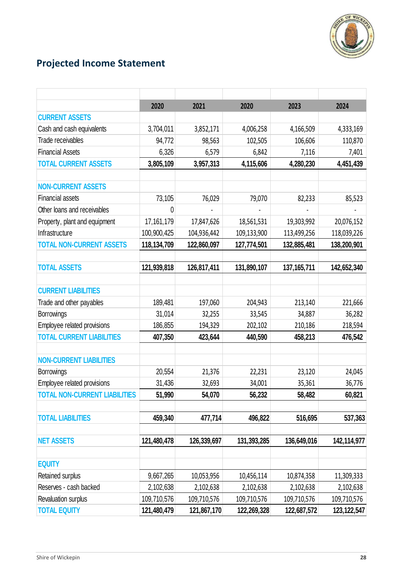

# <span id="page-28-0"></span>**Projected Income Statement**

|                                      | 2020         | 2021        | 2020        | 2023          | 2024          |
|--------------------------------------|--------------|-------------|-------------|---------------|---------------|
| <b>CURRENT ASSETS</b>                |              |             |             |               |               |
| Cash and cash equivalents            | 3,704,011    | 3,852,171   | 4,006,258   | 4,166,509     | 4,333,169     |
| Trade receivables                    | 94,772       | 98,563      | 102,505     | 106,606       | 110,870       |
| <b>Financial Assets</b>              | 6,326        | 6,579       | 6,842       | 7,116         | 7,401         |
| <b>TOTAL CURRENT ASSETS</b>          | 3,805,109    | 3,957,313   | 4,115,606   | 4,280,230     | 4,451,439     |
|                                      |              |             |             |               |               |
| <b>NON-CURRENT ASSETS</b>            |              |             |             |               |               |
| <b>Financial assets</b>              | 73,105       | 76,029      | 79,070      | 82,233        | 85,523        |
| Other loans and receivables          | 0            |             |             |               |               |
| Property, plant and equipment        | 17, 161, 179 | 17,847,626  | 18,561,531  | 19,303,992    | 20,076,152    |
| Infrastructure                       | 100,900,425  | 104,936,442 | 109,133,900 | 113,499,256   | 118,039,226   |
| <b>TOTAL NON-CURRENT ASSETS</b>      | 118,134,709  | 122,860,097 | 127,774,501 | 132,885,481   | 138,200,901   |
|                                      |              |             |             |               |               |
| <b>TOTAL ASSETS</b>                  | 121,939,818  | 126,817,411 | 131,890,107 | 137, 165, 711 | 142,652,340   |
|                                      |              |             |             |               |               |
| <b>CURRENT LIABILITIES</b>           |              |             |             |               |               |
| Trade and other payables             | 189,481      | 197,060     | 204,943     | 213,140       | 221,666       |
| <b>Borrowings</b>                    | 31,014       | 32,255      | 33,545      | 34,887        | 36,282        |
| Employee related provisions          | 186,855      | 194,329     | 202,102     | 210,186       | 218,594       |
| <b>TOTAL CURRENT LIABILITIES</b>     | 407,350      | 423,644     | 440,590     | 458,213       | 476,542       |
|                                      |              |             |             |               |               |
| <b>NON-CURRENT LIABILITIES</b>       |              |             |             |               |               |
| <b>Borrowings</b>                    | 20,554       | 21,376      | 22,231      | 23,120        | 24,045        |
| Employee related provisions          | 31,436       | 32,693      | 34,001      | 35,361        | 36,776        |
| <b>TOTAL NON-CURRENT LIABILITIES</b> | 51,990       | 54,070      | 56,232      | 58,482        | 60,821        |
|                                      |              |             |             |               |               |
| <b>TOTAL LIABILITIES</b>             | 459,340      | 477,714     | 496,822     | 516,695       | 537,363       |
|                                      |              |             |             |               |               |
| <b>NET ASSETS</b>                    | 121,480,478  | 126,339,697 | 131,393,285 | 136,649,016   | 142,114,977   |
|                                      |              |             |             |               |               |
| <b>EQUITY</b>                        |              |             |             |               |               |
| Retained surplus                     | 9,667,265    | 10,053,956  | 10,456,114  | 10,874,358    | 11,309,333    |
| Reserves - cash backed               | 2,102,638    | 2,102,638   | 2,102,638   | 2,102,638     | 2,102,638     |
| Revaluation surplus                  | 109,710,576  | 109,710,576 | 109,710,576 | 109,710,576   | 109,710,576   |
| <b>TOTAL EQUITY</b>                  | 121,480,479  | 121,867,170 | 122,269,328 | 122,687,572   | 123, 122, 547 |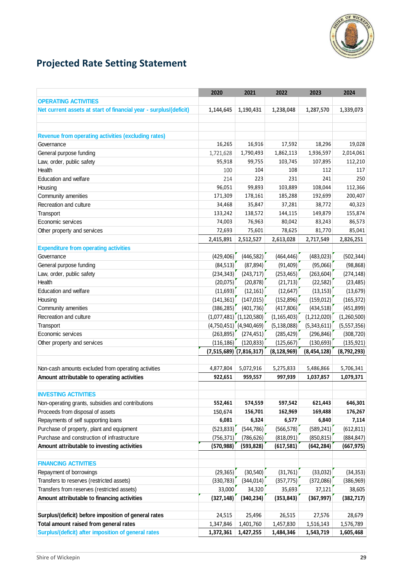

# <span id="page-29-0"></span>**Projected Rate Setting Statement**

|                                                                   | 2020                      | 2021                        | 2022          | 2023          | 2024          |
|-------------------------------------------------------------------|---------------------------|-----------------------------|---------------|---------------|---------------|
| <b>OPERATING ACTIVITIES</b>                                       |                           |                             |               |               |               |
| Net current assets at start of financial year - surplus/(deficit) | 1,144,645                 | 1,190,431                   | 1,238,048     | 1,287,570     | 1,339,073     |
|                                                                   |                           |                             |               |               |               |
|                                                                   |                           |                             |               |               |               |
| <b>Revenue from operating activities (excluding rates)</b>        |                           |                             |               |               |               |
| Governance                                                        | 16,265                    | 16,916                      | 17,592        | 18,296        | 19,028        |
| General purpose funding                                           | 1,721,628                 | 1,790,493                   | 1,862,113     | 1,936,597     | 2,014,061     |
| Law, order, public safety                                         | 95,918                    | 99,755                      | 103,745       | 107,895       | 112,210       |
| Health                                                            | 100                       | 104                         | 108           | 112           | 117           |
| Education and welfare                                             | 214                       | 223                         | 231           | 241           | 250           |
| Housing                                                           | 96,051                    | 99,893                      | 103,889       | 108,044       | 112,366       |
| Community amenities                                               | 171,309                   | 178,161                     | 185,288       | 192,699       | 200,407       |
| Recreation and culture                                            | 34,468                    | 35,847                      | 37,281        | 38,772        | 40,323        |
| Transport                                                         | 133,242                   | 138,572                     | 144,115       | 149,879       | 155,874       |
| Economic services                                                 | 74,003                    | 76,963                      | 80,042        | 83,243        | 86,573        |
| Other property and services                                       | 72,693                    | 75,601                      | 78,625        | 81,770        | 85,041        |
|                                                                   | 2,415,891                 | 2,512,527                   | 2,613,028     | 2,717,549     | 2,826,251     |
| <b>Expenditure from operating activities</b>                      |                           |                             |               |               |               |
| Governance                                                        | (429, 406)                | (446, 582)                  | (464, 446)    | (483, 023)    | (502, 344)    |
| General purpose funding                                           | (84, 513)                 | (87, 894)                   | (91, 409)     | (95,066)      | (98, 868)     |
| Law, order, public safety                                         | (234, 343)                | (243, 717)                  | (253, 465)    | (263, 604)    | (274, 148)    |
| Health                                                            | (20,075)                  | (20, 878)                   | (21, 713)     | (22, 582)     | (23, 485)     |
| Education and welfare                                             | (11,693)                  | (12, 161)                   | (12, 647)     | (13, 153)     | (13, 679)     |
| Housing                                                           | (141, 361)                | (147, 015)                  | (152, 896)    | (159, 012)    | (165, 372)    |
| Community amenities                                               | (386, 285)                | (401, 736)                  | (417, 806)    | (434, 518)    | (451, 899)    |
| Recreation and culture                                            |                           | $(1,077,481)$ $(1,120,580)$ | (1, 165, 403) | (1,212,020)   | (1,260,500)   |
| Transport                                                         |                           | $(4,750,451)$ $(4,940,469)$ | (5, 138, 088) | (5,343,611)   | (5,557,356)   |
| Economic services                                                 | (263,895)                 | (274, 451)                  | (285, 429)    | (296, 846)    | (308, 720)    |
| Other property and services                                       | (116, 186)                | (120, 833)                  | (125, 667)    | (130, 693)    | (135, 921)    |
|                                                                   | $(7,515,689)$ (7,816,317) |                             | (8, 128, 969) | (8, 454, 128) | (8, 792, 293) |
|                                                                   |                           |                             |               |               |               |
| Non-cash amounts excluded from operating activities               | 4,877,804                 | 5,072,916                   | 5,275,833     | 5,486,866     | 5,706,341     |
| Amount attributable to operating activities                       | 922,651                   | 959,557                     | 997,939       | 1,037,857     | 1,079,371     |
|                                                                   |                           |                             |               |               |               |
| <b>INVESTING ACTIVITIES</b>                                       |                           |                             |               |               |               |
| Non-operating grants, subsidies and contributions                 | 552,461                   | 574,559                     | 597,542       | 621,443       | 646,301       |
| Proceeds from disposal of assets                                  | 150,674                   | 156,701                     | 162,969       | 169,488       | 176,267       |
| Repayments of self supporting loans                               | 6,081                     | 6,324                       | 6,577         | 6,840         | 7,114         |
| Purchase of property, plant and equipment                         | (523, 833)                | (544, 786)                  | (566, 578)    | (589, 241)    | (612, 811)    |
| Purchase and construction of infrastructure                       | (756, 371)                | (786, 626)                  | (818,091)     | (850, 815)    | (884, 847)    |
| Amount attributable to investing activities                       | (570, 988)                | (593, 828)                  | (617, 581)    | (642, 284)    | (667, 975)    |
|                                                                   |                           |                             |               |               |               |
| <b>FINANCING ACTIVITIES</b>                                       |                           |                             |               |               |               |
| Repayment of borrowings                                           | (29, 365)                 | (30, 540)                   | (31,761)      | (33,032)      | (34, 353)     |
| Transfers to reserves (restricted assets)                         | (330, 783)                | (344, 014)                  | (357, 775)    | (372,086)     | (386, 969)    |
| Transfers from reserves (restricted assets)                       | 33,000                    | 34,320                      | 35,693        | 37,121        | 38,605        |
| Amount attributable to financing activities                       | (327, 148)                | (340, 234)                  | (353, 843)    | (367, 997)    | (382, 717)    |
|                                                                   |                           |                             |               |               |               |
| Surplus/(deficit) before imposition of general rates              | 24,515                    | 25,496                      | 26,515        | 27,576        | 28,679        |
| Total amount raised from general rates                            | 1,347,846                 | 1,401,760                   | 1,457,830     | 1,516,143     | 1,576,789     |
| Surplus/(deficit) after imposition of general rates               | 1,372,361                 | 1,427,255                   | 1,484,346     | 1,543,719     | 1,605,468     |